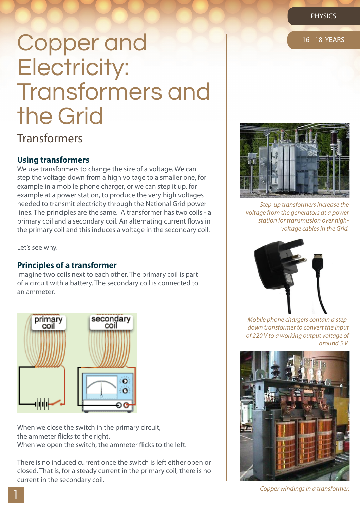# Copper and 16-18 YEARS Electricity: Transformers and the Grid

# Transformers

## **Using transformers**

We use transformers to change the size of a voltage. We can step the voltage down from a high voltage to a smaller one, for example in a mobile phone charger, or we can step it up, for example at a power station, to produce the very high voltages needed to transmit electricity through the National Grid power lines. The principles are the same. A transformer has two coils - a primary coil and a secondary coil. An alternating current flows in the primary coil and this induces a voltage in the secondary coil.

Let's see why.

### **Principles of a transformer**

Imagine two coils next to each other. The primary coil is part of a circuit with a battery. The secondary coil is connected to an ammeter.



When we close the switch in the primary circuit, the ammeter flicks to the right. When we open the switch, the ammeter flicks to the left.

There is no induced current once the switch is left either open or closed. That is, for a steady current in the primary coil, there is no current in the secondary coil.



*Step-up transformers increase the voltage from the generators at a power station for transmission over highvoltage cables in the Grid.*



*Mobile phone chargers contain a stepdown transformer to convert the input of 220 V to a working output voltage of around 5 V.*



*Copper windings in a transformer.*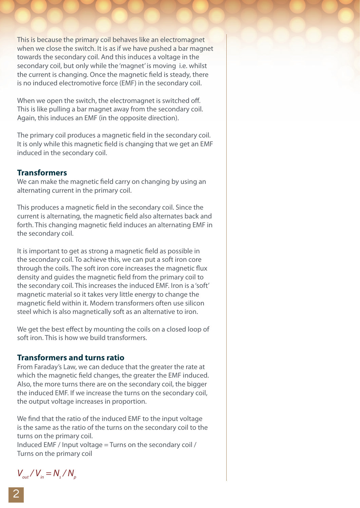This is because the primary coil behaves like an electromagnet when we close the switch. It is as if we have pushed a bar magnet towards the secondary coil. And this induces a voltage in the secondary coil, but only while the 'magnet' is moving i.e. whilst the current is changing. Once the magnetic field is steady, there is no induced electromotive force (EMF) in the secondary coil.

When we open the switch, the electromagnet is switched off. This is like pulling a bar magnet away from the secondary coil. Again, this induces an EMF (in the opposite direction).

The primary coil produces a magnetic field in the secondary coil. It is only while this magnetic field is changing that we get an EMF induced in the secondary coil.

## **Transformers**

We can make the magnetic field carry on changing by using an alternating current in the primary coil.

This produces a magnetic field in the secondary coil. Since the current is alternating, the magnetic field also alternates back and forth. This changing magnetic field induces an alternating EMF in the secondary coil.

It is important to get as strong a magnetic field as possible in the secondary coil. To achieve this, we can put a soft iron core through the coils. The soft iron core increases the magnetic flux density and guides the magnetic field from the primary coil to the secondary coil. This increases the induced EMF. Iron is a 'soft' magnetic material so it takes very little energy to change the magnetic field within it. Modern transformers often use silicon steel which is also magnetically soft as an alternative to iron.

We get the best effect by mounting the coils on a closed loop of soft iron. This is how we build transformers.

## **Transformers and turns ratio**

From Faraday's Law, we can deduce that the greater the rate at which the magnetic field changes, the greater the EMF induced. Also, the more turns there are on the secondary coil, the bigger the induced EMF. If we increase the turns on the secondary coil, the output voltage increases in proportion.

We find that the ratio of the induced EMF to the input voltage is the same as the ratio of the turns on the secondary coil to the turns on the primary coil.

Induced EMF / Input voltage = Turns on the secondary coil / Turns on the primary coil

 $V_{\text{out}} / V_{\text{in}} = N_{\text{s}} / N_{\text{p}}$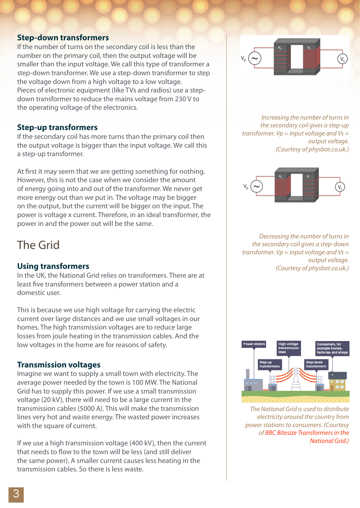### **Step-down transformers**

If the number of turns on the secondary coil is less than the number on the primary coil, then the output voltage will be smaller than the input voltage. We call this type of transformer a step-down transformer. We use a step-down transformer to step the voltage down from a high voltage to a low voltage. Pieces of electronic equipment (like TVs and radios) use a stepdown transformer to reduce the mains voltage from 230 V to the operating voltage of the electronics.

### **Step-up transformers**

If the secondary coil has more turns than the primary coil then the output voltage is bigger than the input voltage. We call this a step-up transformer.

At first it may seem that we are getting something for nothing. However, this is not the case when we consider the amount of energy going into and out of the transformer. We never get more energy out than we put in. The voltage may be bigger on the output, but the current will be bigger on the input. The power is voltage x current. Therefore, in an ideal transformer, the power in and the power out will be the same.

# The Grid

## **Using transformers**

In the UK, the National Grid relies on transformers. There are at least five transformers between a power station and a domestic user.

This is because we use high voltage for carrying the electric current over large distances and we use small voltages in our homes. The high transmission voltages are to reduce large losses from joule heating in the transmission cables. And the low voltages in the home are for reasons of safety.

## **Transmission voltages**

Imagine we want to supply a small town with electricity. The average power needed by the town is 100 MW. The National Grid has to supply this power. If we use a small transmission voltage (20 kV), there will need to be a large current in the transmission cables (5000 A). This will make the transmission lines very hot and waste energy. The wasted power increases with the square of current.

If we use a high transmission voltage (400 kV), then the current that needs to flow to the town will be less (and still deliver the same power). A smaller current causes less heating in the transmission cables. So there is less waste.



*Increasing the number of turns in the secondary coil gives a step-up transformer. Vp = input voltage and Vs = output voltage. (Courtesy of physbot.co.uk.)*



*Decreasing the number of turns in the secondary coil gives a step-down transformer. Vp = input voltage and Vs = output voltage. (Courtesy of physbot.co.uk.)*



*The National Grid is used to distribute electricity around the country from [power stations to consumers. \(Courtesy](http://www.bbc.co.uk/schools/gcsebitesize/science/triple_ocr_gateway/electricity_for_gadgets/transforming/revision/3/)  of BBC Bitesize Transformers in the National Grid.)*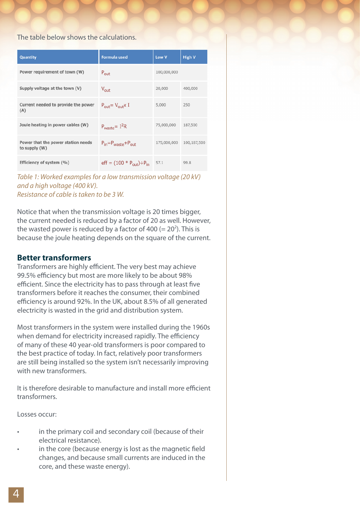#### The table below shows the calculations.

| Quantity                                            | <b>Formula used</b>                               | Low V       | <b>High V</b> |
|-----------------------------------------------------|---------------------------------------------------|-------------|---------------|
| Power requirement of town (W)                       | $P_{\text{out}}$                                  | 100,000,000 |               |
| Supply voltage at the town (V)                      | $V_{\text{out}}$                                  | 20,000      | 400,000       |
| Current needed to provide the power<br>(A)          | $P_{\text{out}} = V_{\text{out}} \times I$        | 5,000       | 250           |
| Joule heating in power cables (W)                   | $P_{waste} = I^2R$                                | 75,000,000  | 187,500       |
| Power that the power station needs<br>to supply (W) | $P_{in}=P_{waste}+P_{out}$                        | 175,000,000 | 100,187,500   |
| Efficiency of system (%)                            | $eff = (100 * P_{\text{out}}) \div P_{\text{in}}$ | 57.1        | 99.8          |

*Table 1: Worked examples for a low transmission voltage (20 kV) and a high voltage (400 kV). Resistance of cable is taken to be 3 W.*

Notice that when the transmission voltage is 20 times bigger, the current needed is reduced by a factor of 20 as well. However, the wasted power is reduced by a factor of 400 ( $= 20<sup>2</sup>$ ). This is because the joule heating depends on the square of the current.

### **Better transformers**

Transformers are highly efficient. The very best may achieve 99.5% efficiency but most are more likely to be about 98% efficient. Since the electricity has to pass through at least five transformers before it reaches the consumer, their combined efficiency is around 92%. In the UK, about 8.5% of all generated electricity is wasted in the grid and distribution system.

Most transformers in the system were installed during the 1960s when demand for electricity increased rapidly. The efficiency of many of these 40 year-old transformers is poor compared to the best practice of today. In fact, relatively poor transformers are still being installed so the system isn't necessarily improving with new transformers.

It is therefore desirable to manufacture and install more efficient transformers.

Losses occur:

- in the primary coil and secondary coil (because of their electrical resistance).
- in the core (because energy is lost as the magnetic field changes, and because small currents are induced in the core, and these waste energy).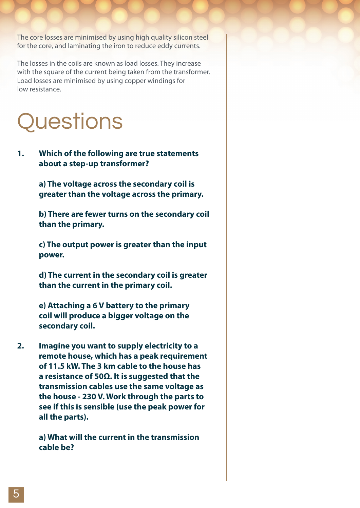The core losses are minimised by using high quality silicon steel for the core, and laminating the iron to reduce eddy currents.

The losses in the coils are known as load losses. They increase with the square of the current being taken from the transformer. Load losses are minimised by using copper windings for low resistance.

# **Questions**

**1. Which of the following are true statements about a step-up transformer?**

> **a) The voltage across the secondary coil is greater than the voltage across the primary.**

**b) There are fewer turns on the secondary coil**  than the primary.

**c) The output power is greater than the input**  power.

**d) The current in the secondary coil is greater than the current in the primary coil.** 

**e) Attaching a 6 V battery to the primary coil will produce a bigger voltage on the secondary coil.**

**2. Imagine you want to supply electricity to a remote house, which has a peak requirement of 11.5 kW. The 3 km cable to the house has a resistance of 50Ω. It is suggested that the transmission cables use the same voltage as the house - 230 V. Work through the parts to see if this is sensible (use the peak power for all the parts).**

> **a) What will the current in the transmission cable be?**